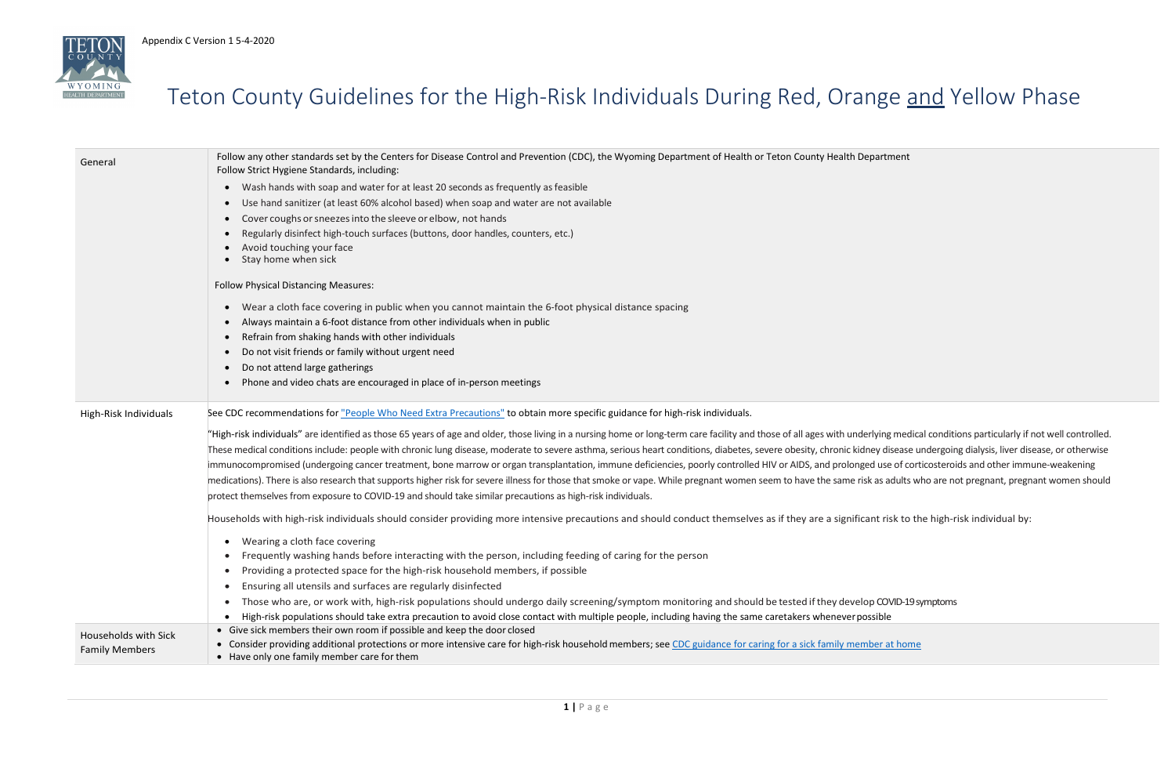

### Teton County Guidelines for the High-Risk Individuals During Red, Orange and Yellow Phase

erlying medical conditions particularly if not well controlled. Iney disease undergoing dialysis, liver disease, or otherwise ged use of corticosteroids and other immune-weakening sk as adults who are not pregnant, pregnant women should

cant risk to the high-risk individual by:

lop COVID-19 symptoms

| General                     | Follow any other standards set by the Centers for Disease Control and Prevention (CDC), the Wyoming Department of Health or Teton County Health Department<br>Follow Strict Hygiene Standards, including:       |  |  |  |  |
|-----------------------------|-----------------------------------------------------------------------------------------------------------------------------------------------------------------------------------------------------------------|--|--|--|--|
|                             | Wash hands with soap and water for at least 20 seconds as frequently as feasible<br>$\bullet$                                                                                                                   |  |  |  |  |
|                             | Use hand sanitizer (at least 60% alcohol based) when soap and water are not available<br>$\bullet$                                                                                                              |  |  |  |  |
|                             | Cover coughs or sneezes into the sleeve or elbow, not hands<br>$\bullet$                                                                                                                                        |  |  |  |  |
|                             | Regularly disinfect high-touch surfaces (buttons, door handles, counters, etc.)                                                                                                                                 |  |  |  |  |
|                             | Avoid touching your face<br>Stay home when sick                                                                                                                                                                 |  |  |  |  |
|                             | <b>Follow Physical Distancing Measures:</b>                                                                                                                                                                     |  |  |  |  |
|                             | Wear a cloth face covering in public when you cannot maintain the 6-foot physical distance spacing<br>$\bullet$                                                                                                 |  |  |  |  |
|                             | Always maintain a 6-foot distance from other individuals when in public<br>$\bullet$                                                                                                                            |  |  |  |  |
|                             | Refrain from shaking hands with other individuals<br>$\bullet$                                                                                                                                                  |  |  |  |  |
|                             | Do not visit friends or family without urgent need                                                                                                                                                              |  |  |  |  |
|                             | Do not attend large gatherings<br>$\bullet$                                                                                                                                                                     |  |  |  |  |
|                             | Phone and video chats are encouraged in place of in-person meetings<br>$\bullet$                                                                                                                                |  |  |  |  |
| High-Risk Individuals       | See CDC recommendations for "People Who Need Extra Precautions" to obtain more specific guidance for high-risk individuals.                                                                                     |  |  |  |  |
|                             | "High-risk individuals" are identified as those 65 years of age and older, those living in a nursing home or long-term care facility and those of all ages with underlying medically                            |  |  |  |  |
|                             | These medical conditions include: people with chronic lung disease, moderate to severe asthma, serious heart conditions, diabetes, severe obesity, chronic kidney disease u                                     |  |  |  |  |
|                             | immunocompromised (undergoing cancer treatment, bone marrow or organ transplantation, immune deficiencies, poorly controlled HIV or AIDS, and prolonged use of cort                                             |  |  |  |  |
|                             | medications). There is also research that supports higher risk for severe illness for those that smoke or vape. While pregnant women seem to have the same risk as adults w                                     |  |  |  |  |
|                             | protect themselves from exposure to COVID-19 and should take similar precautions as high-risk individuals.                                                                                                      |  |  |  |  |
|                             | Households with high-risk individuals should consider providing more intensive precautions and should conduct themselves as if they are a significant risk to the                                               |  |  |  |  |
|                             | Wearing a cloth face covering<br>$\bullet$                                                                                                                                                                      |  |  |  |  |
|                             | Frequently washing hands before interacting with the person, including feeding of caring for the person                                                                                                         |  |  |  |  |
|                             | Providing a protected space for the high-risk household members, if possible<br>$\bullet$                                                                                                                       |  |  |  |  |
|                             | Ensuring all utensils and surfaces are regularly disinfected                                                                                                                                                    |  |  |  |  |
|                             | Those who are, or work with, high-risk populations should undergo daily screening/symptom monitoring and should be tested if they develop COVID-19 s<br>$\bullet$                                               |  |  |  |  |
|                             | High-risk populations should take extra precaution to avoid close contact with multiple people, including having the same caretakers whenever possible<br>$\bullet$                                             |  |  |  |  |
| <b>Households with Sick</b> | • Give sick members their own room if possible and keep the door closed                                                                                                                                         |  |  |  |  |
| <b>Family Members</b>       | • Consider providing additional protections or more intensive care for high-risk household members; see CDC guidance for caring for a sick family member at home<br>• Have only one family member care for them |  |  |  |  |
|                             |                                                                                                                                                                                                                 |  |  |  |  |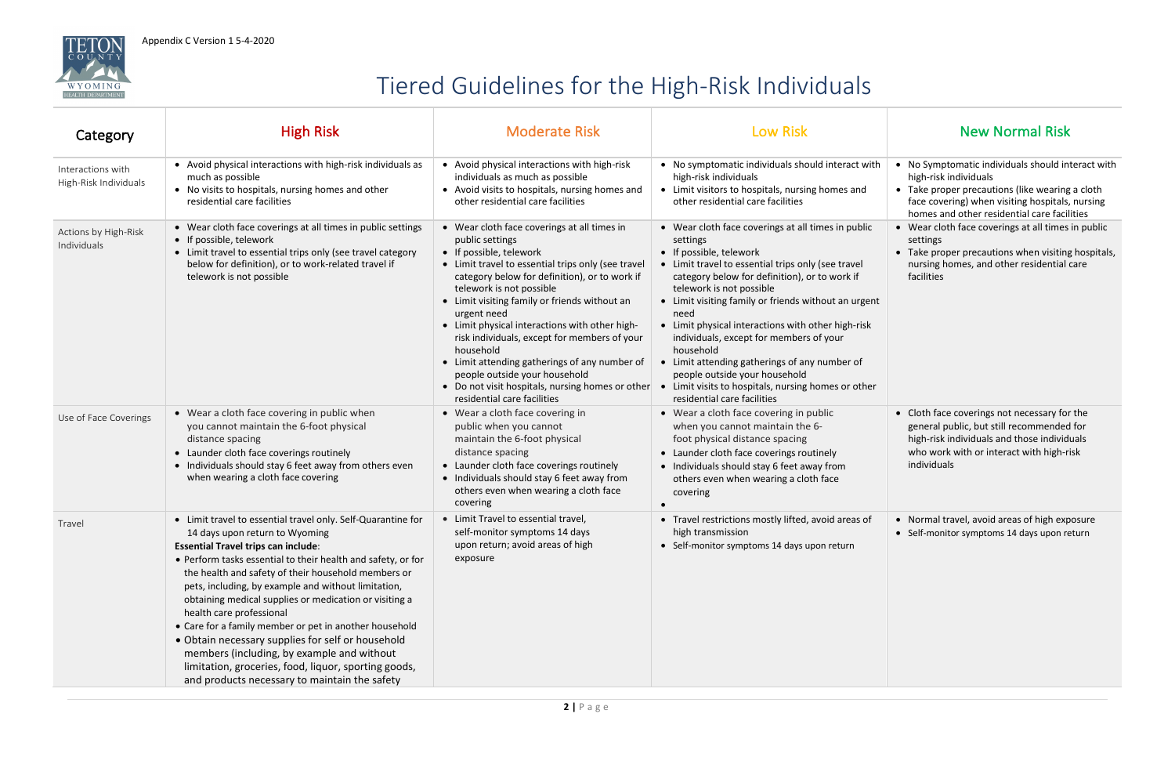



## Tiered Guidelines for the High-Risk Individuals

| Category                                   | <b>High Risk</b>                                                                                                                                                                                                                                                                                                                                                                                                                                                                                                                                                                                                                                                                       | <b>Moderate Risk</b>                                                                                                                                                                                                                                                                                                                                                                                                                                                                                                                                                             | <b>Low Risk</b>                                                                                                                                                                                                                                                                                                                                                                                                                                                                                                                                                                    | <b>New Normal Risk</b>                                                                                                                                                                                                          |
|--------------------------------------------|----------------------------------------------------------------------------------------------------------------------------------------------------------------------------------------------------------------------------------------------------------------------------------------------------------------------------------------------------------------------------------------------------------------------------------------------------------------------------------------------------------------------------------------------------------------------------------------------------------------------------------------------------------------------------------------|----------------------------------------------------------------------------------------------------------------------------------------------------------------------------------------------------------------------------------------------------------------------------------------------------------------------------------------------------------------------------------------------------------------------------------------------------------------------------------------------------------------------------------------------------------------------------------|------------------------------------------------------------------------------------------------------------------------------------------------------------------------------------------------------------------------------------------------------------------------------------------------------------------------------------------------------------------------------------------------------------------------------------------------------------------------------------------------------------------------------------------------------------------------------------|---------------------------------------------------------------------------------------------------------------------------------------------------------------------------------------------------------------------------------|
| Interactions with<br>High-Risk Individuals | • Avoid physical interactions with high-risk individuals as<br>much as possible<br>• No visits to hospitals, nursing homes and other<br>residential care facilities                                                                                                                                                                                                                                                                                                                                                                                                                                                                                                                    | • Avoid physical interactions with high-risk<br>individuals as much as possible<br>• Avoid visits to hospitals, nursing homes and<br>other residential care facilities                                                                                                                                                                                                                                                                                                                                                                                                           | • No symptomatic individuals should interact with<br>high-risk individuals<br>• Limit visitors to hospitals, nursing homes and<br>other residential care facilities                                                                                                                                                                                                                                                                                                                                                                                                                | • No Symptomatic individuals should interact with<br>high-risk individuals<br>• Take proper precautions (like wearing a cloth<br>face covering) when visiting hospitals, nursing<br>homes and other residential care facilities |
| Actions by High-Risk<br>Individuals        | • Wear cloth face coverings at all times in public settings<br>• If possible, telework<br>• Limit travel to essential trips only (see travel category<br>below for definition), or to work-related travel if<br>telework is not possible                                                                                                                                                                                                                                                                                                                                                                                                                                               | • Wear cloth face coverings at all times in<br>public settings<br>• If possible, telework<br>• Limit travel to essential trips only (see travel<br>category below for definition), or to work if<br>telework is not possible<br>• Limit visiting family or friends without an<br>urgent need<br>• Limit physical interactions with other high-<br>risk individuals, except for members of your<br>household<br>• Limit attending gatherings of any number of<br>people outside your household<br>• Do not visit hospitals, nursing homes or other<br>residential care facilities | • Wear cloth face coverings at all times in public<br>settings<br>• If possible, telework<br>• Limit travel to essential trips only (see travel<br>category below for definition), or to work if<br>telework is not possible<br>• Limit visiting family or friends without an urgent<br>need<br>• Limit physical interactions with other high-risk<br>individuals, except for members of your<br>household<br>• Limit attending gatherings of any number of<br>people outside your household<br>• Limit visits to hospitals, nursing homes or other<br>residential care facilities | • Wear cloth face coverings at all times in public<br>settings<br>• Take proper precautions when visiting hospitals,<br>nursing homes, and other residential care<br>facilities                                                 |
| Use of Face Coverings                      | • Wear a cloth face covering in public when<br>you cannot maintain the 6-foot physical<br>distance spacing<br>• Launder cloth face coverings routinely<br>• Individuals should stay 6 feet away from others even<br>when wearing a cloth face covering                                                                                                                                                                                                                                                                                                                                                                                                                                 | • Wear a cloth face covering in<br>public when you cannot<br>maintain the 6-foot physical<br>distance spacing<br>• Launder cloth face coverings routinely<br>• Individuals should stay 6 feet away from<br>others even when wearing a cloth face<br>covering                                                                                                                                                                                                                                                                                                                     | • Wear a cloth face covering in public<br>when you cannot maintain the 6-<br>foot physical distance spacing<br>• Launder cloth face coverings routinely<br>• Individuals should stay 6 feet away from<br>others even when wearing a cloth face<br>covering                                                                                                                                                                                                                                                                                                                         | • Cloth face coverings not necessary for the<br>general public, but still recommended for<br>high-risk individuals and those individuals<br>who work with or interact with high-risk<br>individuals                             |
| Travel                                     | • Limit travel to essential travel only. Self-Quarantine for<br>14 days upon return to Wyoming<br><b>Essential Travel trips can include:</b><br>• Perform tasks essential to their health and safety, or for<br>the health and safety of their household members or<br>pets, including, by example and without limitation,<br>obtaining medical supplies or medication or visiting a<br>health care professional<br>• Care for a family member or pet in another household<br>• Obtain necessary supplies for self or household<br>members (including, by example and without<br>limitation, groceries, food, liquor, sporting goods,<br>and products necessary to maintain the safety | • Limit Travel to essential travel,<br>self-monitor symptoms 14 days<br>upon return; avoid areas of high<br>exposure                                                                                                                                                                                                                                                                                                                                                                                                                                                             | • Travel restrictions mostly lifted, avoid areas of<br>high transmission<br>• Self-monitor symptoms 14 days upon return                                                                                                                                                                                                                                                                                                                                                                                                                                                            | • Normal travel, avoid areas of high exposure<br>• Self-monitor symptoms 14 days upon return                                                                                                                                    |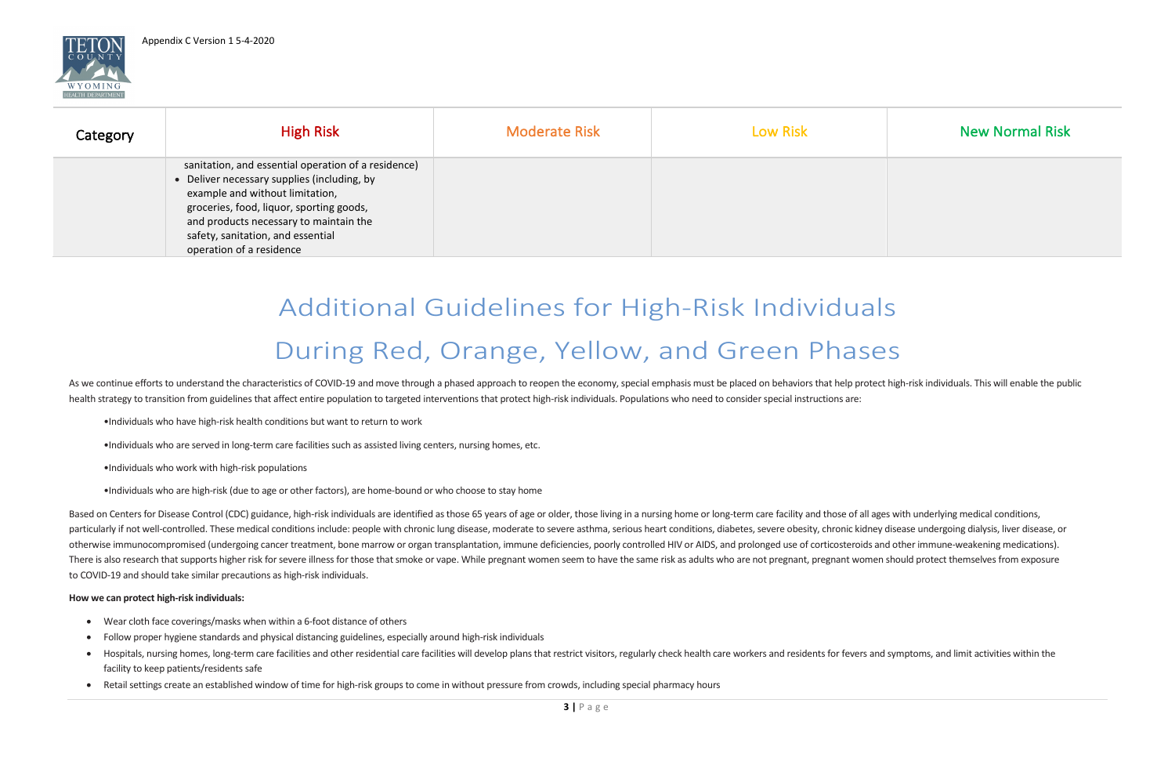

| <b>New Normal Risk</b> |  |  |  |  |  |
|------------------------|--|--|--|--|--|
|                        |  |  |  |  |  |
|                        |  |  |  |  |  |
|                        |  |  |  |  |  |

| Category | <b>High Risk</b>                                                                                                                                                                                                                                                                             | <b>Moderate Risk</b> | <b>Low Risk</b> | <b>New Normal Risk</b> |
|----------|----------------------------------------------------------------------------------------------------------------------------------------------------------------------------------------------------------------------------------------------------------------------------------------------|----------------------|-----------------|------------------------|
|          | sanitation, and essential operation of a residence)<br>• Deliver necessary supplies (including, by<br>example and without limitation,<br>groceries, food, liquor, sporting goods,<br>and products necessary to maintain the<br>safety, sanitation, and essential<br>operation of a residence |                      |                 |                        |

# Additional Guidelines for High-Risk Individuals During Red, Orange, Yellow, and Green Phases

As we continue efforts to understand the characteristics of COVID-19 and move through a phased approach to reopen the economy, special emphasis must be placed on behaviors that help protect high-risk individuals. This will health strategy to transition from guidelines that affect entire population to targeted interventions that protect high-risk individuals. Populations who need to consider special instructions are:

- •Individuals who have high-risk health conditions but want to return to work
- •Individuals who are served in long-term care facilities such as assisted living centers, nursing homes, etc.
- •Individuals who work with high-risk populations
- •Individuals who are high-risk (due to age or other factors), are home-bound or who choose to stay home

Based on Centers for Disease Control (CDC) guidance, high-risk individuals are identified as those 65 years of age or older, those living in a nursing home or long-term care facility and those of all ages with underlying m particularly if not well-controlled. These medical conditions include: people with chronic lung disease, moderate to severe asthma, serious heart conditions, diabetes, severe obesity, chronic kidney disease undergoing dial otherwise immunocompromised (undergoing cancer treatment, bone marrow or organ transplantation, immune deficiencies, poorly controlled HIV or AIDS, and prolonged use of corticosteroids and other immune-weakening medication There is also research that supports higher risk for severe illness for those that smoke or vape. While pregnant women seem to have the same risk as adults who are not pregnant, pregnant women should protect themselves fro to COVID-19 and should take similar precautions as high-risk individuals.

#### **How we can protect high-risk individuals:**

- Wear cloth face coverings/masks when within a 6-foot distance of others
- Follow proper hygiene standards and physical distancing guidelines, especially around high-risk individuals
- Hospitals, nursing homes, long-term care facilities and other residential care facilities will develop plans that restrict visitors, regularly check health care workers and residents for fevers and symptoms, and limit ac facility to keep patients/residents safe
- Retail settings create an established window of time for high-risk groups to come in without pressure from crowds, including special pharmacy hours